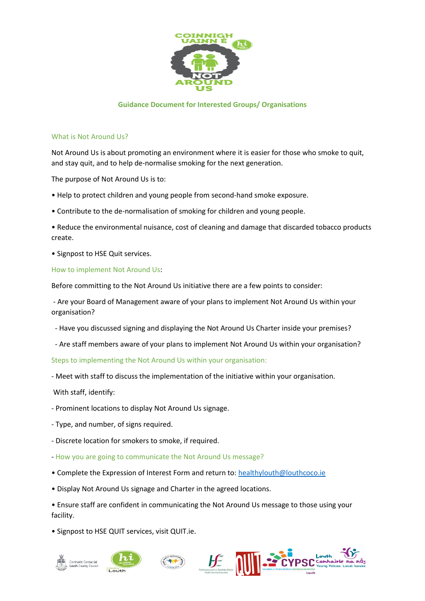

## **Guidance Document for Interested Groups/ Organisations**

#### What is Not Around Us?

Not Around Us is about promoting an environment where it is easier for those who smoke to quit, and stay quit, and to help de-normalise smoking for the next generation.

The purpose of Not Around Us is to:

- Help to protect children and young people from second-hand smoke exposure.
- Contribute to the de-normalisation of smoking for children and young people.
- Reduce the environmental nuisance, cost of cleaning and damage that discarded tobacco products create.
- Signpost to HSE Quit services.

### How to implement Not Around Us:

Before committing to the Not Around Us initiative there are a few points to consider:

- Are your Board of Management aware of your plans to implement Not Around Us within your organisation?

- Have you discussed signing and displaying the Not Around Us Charter inside your premises?
- Are staff members aware of your plans to implement Not Around Us within your organisation?

Steps to implementing the Not Around Us within your organisation:

- Meet with staff to discuss the implementation of the initiative within your organisation.

With staff, identify:

- Prominent locations to display Not Around Us signage.
- Type, and number, of signs required.
- Discrete location for smokers to smoke, if required.
- How you are going to communicate the Not Around Us message?
- Complete the Expression of Interest Form and return to: [healthylouth@louthcoco.ie](mailto:healthylouth@louthcoco.ie)
- Display Not Around Us signage and Charter in the agreed locations.
- Ensure staff are confident in communicating the Not Around Us message to those using your facility.
- Signpost to HSE QUIT services, visit QUIT.ie.